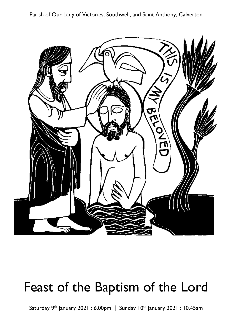Parish of Our Lady of Victories, Southwell, and Saint Anthony, Calverton



# Feast of the Baptism of the Lord

Saturday 9<sup>th</sup> January 2021: 6.00pm | Sunday 10<sup>th</sup> January 2021: 10.45am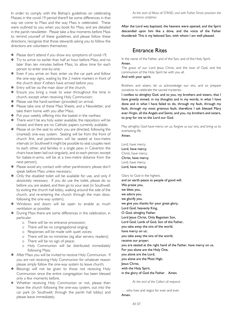In order to comply with the Bishop's guidelines on celebrating Masses in the covid-19 period there'll be some differences in that way we come to Mass and the way Mass is celebrated. These were outlined to you when you book for Mass, and are detailed in the parish newsletter. Please take a few moments before Mass to remind yourself of these guidelines, and please follow these directions, recognise that those stewards asking you to follow the directions are volunteers themselves:

- X Please don't attend if you show any symptoms of covid-19;
- **X** Try to arrive no earlier than half an hour before Mass, and no later than ten minutes before Mass, to allow time for each person to enter one-by-one;
- **X** Even if you arrive on foot, enter via the car park and follow the one-way signs, waiting by the 2 metre markers in front of the church door if others have arrived before you;
- **E** Entry will be via the main door of the church;
- X Ensure you bring a mask to wear throughout the time in church, except when receiving Holy Communion;
- $\cdot$  Please use the hand-sanitiser (provided) on arrival:
- X Please take one of these Mass Sheets, and a Newsletter, and take them home with you after Mass;
- $\mathbf{\Psi}$  Put your weekly offering into the basket in the narthex;
- **X** There won't be any holy water available, the repository will be closed, and there are no Catholic papers currently available;
- **X** Please sit on the seat to which you are directed, following the (marked) one-way system. Seating will be from the front of church first, and parishioners will be seated at two-metre intervals (in Southwell it might be possible to seat couples next to each other, and families in a single pew; in Calverton the chairs have been laid out singularly, and so each person, except for babes-in-arms, will be at a two-metre distance from the next person);
- X Please avoid any contact with other parishioners; please don't speak before Mass unless necessary;
- $\mathbf{\Psi}$  Only the disabled toilet will be available for use, and only if absolutely necessary. If you do use the toilet, please do so before you are seated, and then go to your seat (in Southwell, by exiting the church hall lobby, walking around the side of the church, and re-entering the church through the main door, following the one-way system);
- X Windows and doors will be open to enable as much ventilation as possible;
- X During Mass there are some differences in the celebration, in particular:
	- o There will be no entrance procession;
	- o There will be no congregational singing;
	- o Responses will be made with quiet voices;
	- o There will be no ministries (eg altar servers, readers);
	- o There will be no sign of peace;
	- o Holy Communion will be distributed immediately following Mass;
- **X** After Mass you will be invited to receive Holy Communion. If you are not receiving Holy Communion for whatever reason please simply follow the one-way system to leave church.
- X Blessings will not be given to those not receiving Holy Communion since the entire congregation has been blessed only a few moments before.
- X Whether receiving Holy Communion or not, please then leave the church following the one-way system, out into the car park (in Southwell, through the parish hall lobby) and please leave immediately.

*As the start of Mass all STAND, and with Father Simon proclaim the entrance antiphon.*

After the Lord was baptized, the heavens were opened, and the Spirit descended upon him like a dove, and the voice of the Father thundered: This is my beloved Son, with whom I am well pleased.

### **Fntrance Rites**

In the name of the Father, and of the Son, and of the Holy Spirit. Amen.

The grace of our Lord Jesus Christ, and the love of God, and the communion of the Holy Spirit be with you all.

And with your spirit.

Brothers and sisters, let us acknowledge our sins, and so prepare ourselves to celebrate the sacred mysteries.

I confess to almighty God, and to you, my brothers and sisters, that I have greatly sinned, in my thoughts and in my words, in what I have done and in what I have failed to do, through my fault, through my fault, through my most grievous fault; therefore I ask blessed Mary ever-Virgin, all the Angels and Saints, and you, my brothers and sisters, to pray for me to the Lord our God.

May almighty God have mercy on us, forgive us our sins, and bring us to everlasting life.

Amen.

Lord, have mercy. Lord, have mercy. Christ, have mercy. Christ, have mercy. Lord, have mercy. Lord, have mercy.

Glory to God in the highest, and on earth peace to people of good will. We praise you, we bless you, we adore you, we glorify you, we give you thanks for your great glory, Lord God, heavenly King, O God, almighty Father. Lord Jesus Christ, Only Begotten Son, Lord God, Lamb of God, Son of the Father, you take away the sins of the world, have mercy on us; you take away the sins of the world, receive our prayer; you are seated at the right hand of the Father, have mercy on us. For you alone are the Holy One, you alone are the Lord, you alone are the Most High, Jesus Christ, with the Holy Spirit, in the glory of God the Father. Amen. *At the end of the Collect all respond:*

. . . who lives and reigns for ever and ever. Amen.

*All SIT.*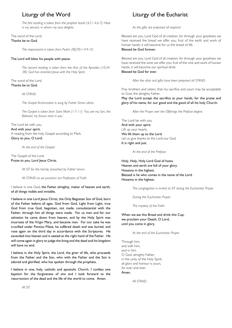## Liturgy of the Word

*The first reading is taken from the prophet Isaiah (42:1-4.6-7): Here is my servant, in whom my soul delights.*

#### The word of the Lord. Thanks be to God.

*The responsorial is taken from Psalm 28(29):1-4.9-10:*

#### The Lord will bless his people with peace.

*The second reading is taken from the Acts of the Apostles (10:34- 38): God has anointed Jesus with the Holy Spirit.*

The word of the Lord. Thanks be to God.

#### *All STAND.*

*The Gospel Acclamation is sung by Father Simon alone.*

*The Gospel is taken from Saint Mark (1:7-11): 'You are my Son, the Beloved; my favour rests in you.'*

#### The Lord be with you. And with your spirit. A reading from the holy Gospel according to Mark. Glory to you, O Lord.

*At the end of the Gospel:*

#### The Gospel of the Lord. Praise to you, Lord Jesus Christ.

*All SIT for the homily, preached by Father Simon.*

*All STAND as we proclaim our Profession of Faith:*

I believe in one God, the Father almighty, maker of heaven and earth, of all things visible and invisible.

I believe in one Lord Iesus Christ, the Only Begotten Son of God, born of the Father before all ages. God from God, Light from Light, true God from true God, begotten, not made, consubstantial with the Father; through him all things were made. For us men and for our salvation he came down from heaven, and by the Holy Spirit was incarnate of the Virgin Mary, and became man. For our sake he was crucified under Pontius Pilate, he suffered death and was buried, and rose again on the third day in accordance with the Scriptures. He ascended into heaven and is seated at the right hand of the Father. He will come again in glory to judge the living and the dead and his kingdom will have no end.

I believe in the Holy Spirit, the Lord, the giver of life, who proceeds from the Father and the Son, who with the Father and the Son is adored and glorified, who has spoken through the prophets.

I believe in one, holy, catholic and apostolic Church. I confess one baptism for the forgiveness of sins and I look forward to the resurrection of the dead and the life of the world to come. Amen.

Liturgy of the Eucharist

*As the gifts are prepared all respond:*

Blessed are you, Lord God of all creation, for through your goodness we have received the bread we offer you: fruit of the earth and work of human hands, it will become for us the bread of life. Blessed be God forever.

Blessed are you, Lord God of all creation, for through your goodness we have received the wine we offer you: fruit of the vine and work of human hands, it will become our spiritual drink.

#### Blessed be God for ever.

*After the altar and gifts have been prepared all STAND:*

Pray brothers and sisters, that my sacrifice and yours may be acceptable to God, the almighty Father.

May the Lord accept the sacrifice at your hands, for the praise and glory of his name, for our good and the good of all his holy Church.

*After the Prayer over the Offerings the Preface begins:*

The Lord be with you. And with your spirit. Lift up your hearts. We lift them up to the Lord. Let us give thanks to the Lord our God. It is right and just.

*At the end of the Preface:*

Holy, Holy, Holy Lord God of hosts. Heaven and earth are full of your glory. Hosanna in the highest. Blessed is he who comes in the name of the Lord. Hosanna in the highest.

*The congregation is invited to SIT during the Eucharistic Prayer.*

*During the Eucharistic Prayer:*

*The mystery of the Faith:*

When we eat this Bread and drink this Cup, we proclaim your Death, O Lord, until you come in glory.

*At the end of the Eucharistic Prayer:*

Through him, and with him, and in him, O God, almighty Father, in the unity of the Holy Spirit, all glory and honour is yours, for ever and ever. Amen.

*All STAND.*

*All SIT.*